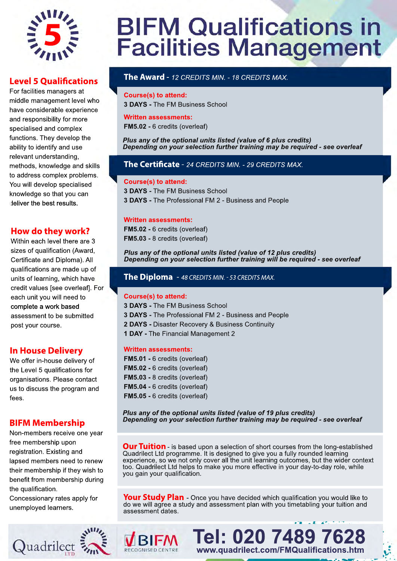

#### **Level 5 Qualifications**

For facilities managers at middle management level who have considerable experience and responsibility for more specialised and complex functions. They develop the ability to identify and use relevant understanding, methods, knowledge and skills to address complex problems. You will develop specialised knowledge so that you can deliver the best results.

#### **How do they work?**

Within each level there are 3 sizes of qualification (Award, Certificate and Diploma). All qualifications are made up of units of learning, which have credit values [see overleaf]. For each unit you will need to complete a work based assessment to be submitted post your course.

#### **In House Delivery**

We offer in-house delivery of the Level 5 qualifications for organisations. Please contact us to discuss the program and fees.

#### **BIFM Membership**

Non-members receive one year free membership upon registration. Existing and lapsed members need to renew their membership if they wish to benefit from membership during the qualification.

Concessionary rates apply for unemployed learners.



# **BIFM Qualifications in<br>Facilities Management**

#### **The Award** -*12 CREDITS MIN. - 18 CREDITS MAX.*

#### **Course(s) to attend:**

**3 DAYS -** The FM Business School

#### **Written assessments:**

**FM5.02 -** 6 credits (overleaf)

#### *Plus any of the optional units listed (value of 6 plus credits) Depending on your selection further training may be required - see overleaf*

#### **The Certificate** - 24 CREDITS MIN. - 29 CREDITS MAX.

#### **Course(s) to attend:**

**3 DAYS -** The FM Business School **3 DAYS -** The Professional FM 2 - Business and People

#### **Written assessments:**

**FM5.02 -** 6 credits (overleaf) **FM5.03 -** 8 credits (overleaf)

#### *Plus any of the optional units listed (value of 12 plus credits) Depending on your selection further training will be required - see overleaf*

#### **The Diploma** - 48 CREDITS MIN. - 53 CREDITS MAX.

#### **Course(s) to attend:**

**3 DAYS -** The FM Business School **3 DAYS -** The Professional FM 2 - Business and People

- **2 DAYS** Disaster Recovery & Business Continuity
- **1 DAY** The Financial Management 2

#### **Written assessments:**

|  |  | FM5.01 - 6 credits (overleaf) |
|--|--|-------------------------------|
|  |  | FM5.02 - 6 credits (overleaf) |
|  |  | FM5.03 - 8 credits (overleaf) |
|  |  | FM5.04 - 6 credits (overleaf) |
|  |  | FM5.05 - 6 credits (overleaf) |

*Plus any of the optional units listed (value of 19 plus credits) Depending on your selection further training may be required - see overleaf*

**Our Tuition**- is based upon a selection of short courses from the long-established Quadrilect Ltd programme. It is designed to give you a fully rounded learning experience, so we not only cover all the unit learning outcomes, but the wider context too. Quadrilect Ltd helps to make you more effective in your day-to-day role, while you gain your qualification.

**Your Study Plan**- Once you have decided which qualification you would like to do we will agree a study and assessment plan with you timetabling your tuition and assessment dates.

> **Tel: 020 7489 7628 www.quadrilect.com/FMQualifications.htm**